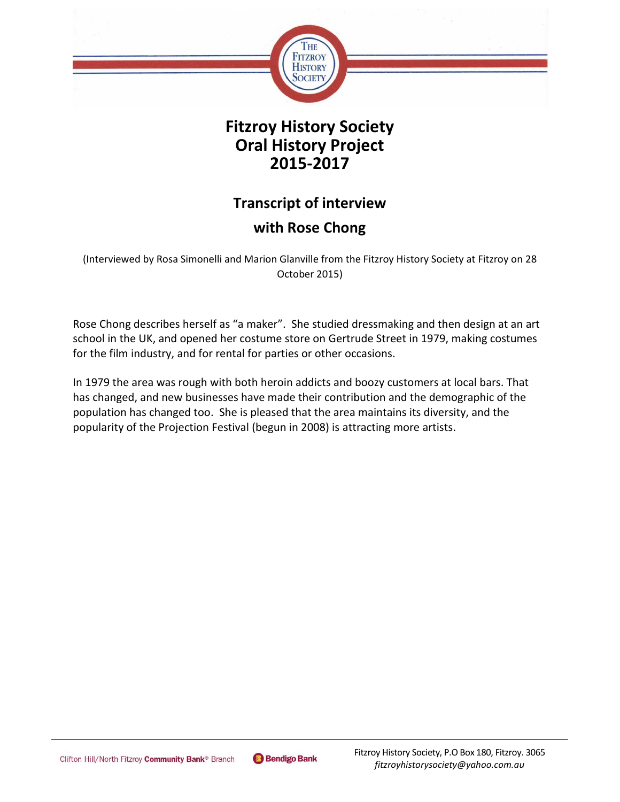

# **Fitzroy History Society Oral History Project 2015-2017**

# **Transcript of interview**

# **with Rose Chong**

(Interviewed by Rosa Simonelli and Marion Glanville from the Fitzroy History Society at Fitzroy on 28 October 2015)

Rose Chong describes herself as "a maker". She studied dressmaking and then design at an art school in the UK, and opened her costume store on Gertrude Street in 1979, making costumes for the film industry, and for rental for parties or other occasions.

In 1979 the area was rough with both heroin addicts and boozy customers at local bars. That has changed, and new businesses have made their contribution and the demographic of the population has changed too. She is pleased that the area maintains its diversity, and the popularity of the Projection Festival (begun in 2008) is attracting more artists.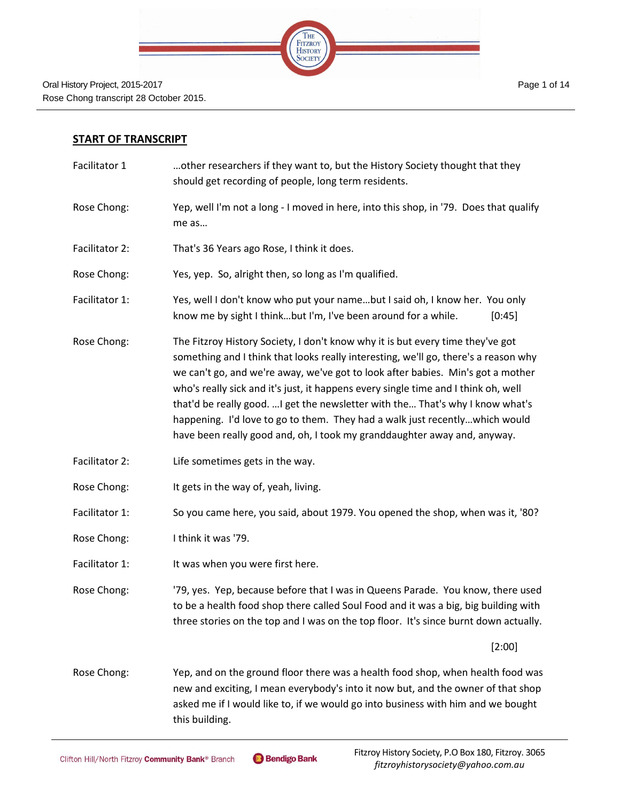

## **START OF TRANSCRIPT**

- Facilitator 1 …other researchers if they want to, but the History Society thought that they should get recording of people, long term residents.
- Rose Chong: Yep, well I'm not a long I moved in here, into this shop, in '79. Does that qualify me as…
- Facilitator 2: That's 36 Years ago Rose, I think it does.
- Rose Chong: Yes, yep. So, alright then, so long as I'm qualified.
- Facilitator 1: Yes, well I don't know who put your name…but I said oh, I know her. You only know me by sight I think...but I'm, I've been around for a while.  $[0:45]$
- Rose Chong: The Fitzroy History Society, I don't know why it is but every time they've got something and I think that looks really interesting, we'll go, there's a reason why we can't go, and we're away, we've got to look after babies. Min's got a mother who's really sick and it's just, it happens every single time and I think oh, well that'd be really good. …I get the newsletter with the… That's why I know what's happening. I'd love to go to them. They had a walk just recently…which would have been really good and, oh, I took my granddaughter away and, anyway.
- Facilitator 2: Life sometimes gets in the way.
- Rose Chong: It gets in the way of, yeah, living.
- Facilitator 1: So you came here, you said, about 1979. You opened the shop, when was it, '80?
- Rose Chong: I think it was '79.
- Facilitator 1: It was when you were first here.
- Rose Chong: '79, yes. Yep, because before that I was in Queens Parade. You know, there used to be a health food shop there called Soul Food and it was a big, big building with three stories on the top and I was on the top floor. It's since burnt down actually.

[2:00]

Rose Chong: Yep, and on the ground floor there was a health food shop, when health food was new and exciting, I mean everybody's into it now but, and the owner of that shop asked me if I would like to, if we would go into business with him and we bought this building.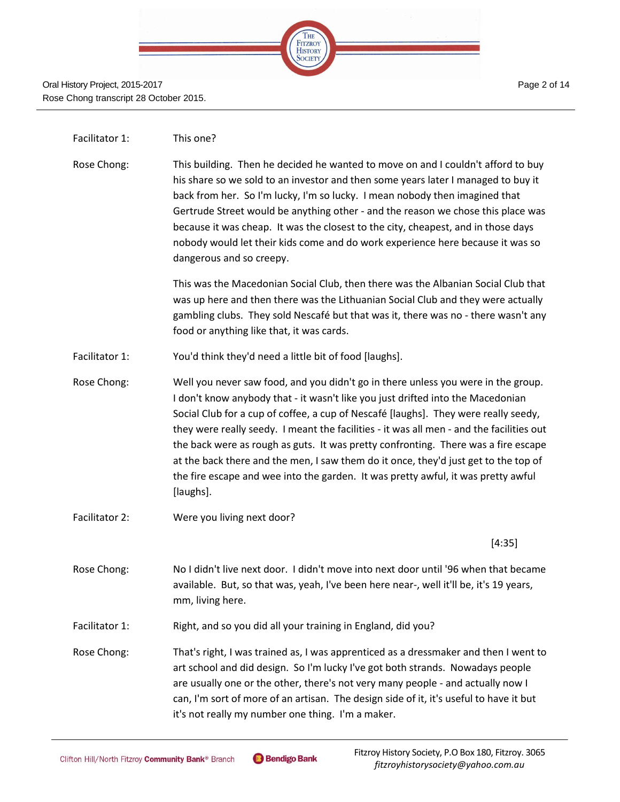

#### Facilitator 1: This one?

Rose Chong: This building. Then he decided he wanted to move on and I couldn't afford to buy his share so we sold to an investor and then some years later I managed to buy it back from her. So I'm lucky, I'm so lucky. I mean nobody then imagined that Gertrude Street would be anything other - and the reason we chose this place was because it was cheap. It was the closest to the city, cheapest, and in those days nobody would let their kids come and do work experience here because it was so dangerous and so creepy.

> This was the Macedonian Social Club, then there was the Albanian Social Club that was up here and then there was the Lithuanian Social Club and they were actually gambling clubs. They sold Nescafé but that was it, there was no - there wasn't any food or anything like that, it was cards.

- Facilitator 1: You'd think they'd need a little bit of food [laughs].
- Rose Chong: Well you never saw food, and you didn't go in there unless you were in the group. I don't know anybody that - it wasn't like you just drifted into the Macedonian Social Club for a cup of coffee, a cup of Nescafé [laughs]. They were really seedy, they were really seedy. I meant the facilities - it was all men - and the facilities out the back were as rough as guts. It was pretty confronting. There was a fire escape at the back there and the men, I saw them do it once, they'd just get to the top of the fire escape and wee into the garden. It was pretty awful, it was pretty awful [laughs].
- Facilitator 2: Were you living next door?

[4:35]

- Rose Chong: No I didn't live next door. I didn't move into next door until '96 when that became available. But, so that was, yeah, I've been here near-, well it'll be, it's 19 years, mm, living here.
- Facilitator 1: Right, and so you did all your training in England, did you?
- Rose Chong: That's right, I was trained as, I was apprenticed as a dressmaker and then I went to art school and did design. So I'm lucky I've got both strands. Nowadays people are usually one or the other, there's not very many people - and actually now I can, I'm sort of more of an artisan. The design side of it, it's useful to have it but it's not really my number one thing. I'm a maker.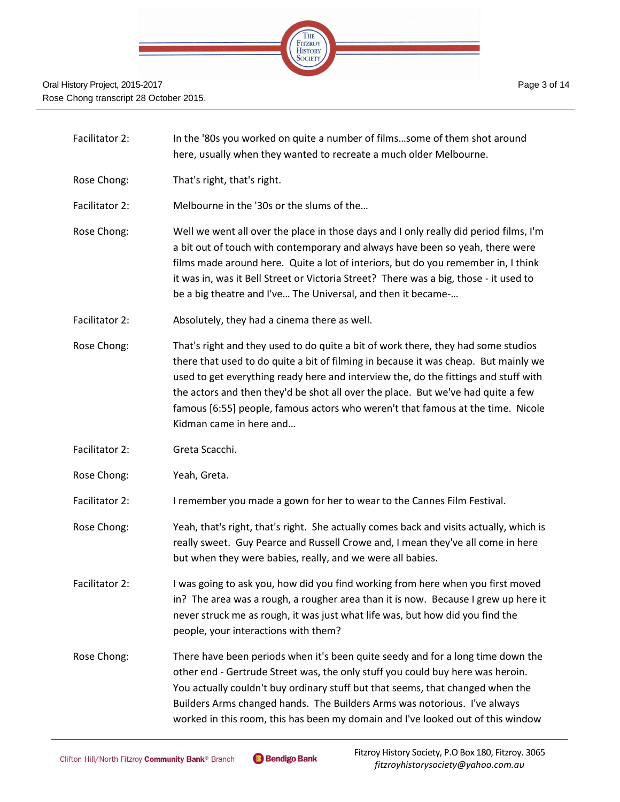

- Facilitator 2: In the '80s you worked on quite a number of films…some of them shot around here, usually when they wanted to recreate a much older Melbourne.
- Rose Chong: That's right, that's right.

Facilitator 2: Melbourne in the '30s or the slums of the…

- Rose Chong: Well we went all over the place in those days and I only really did period films, I'm a bit out of touch with contemporary and always have been so yeah, there were films made around here. Quite a lot of interiors, but do you remember in, I think it was in, was it Bell Street or Victoria Street? There was a big, those - it used to be a big theatre and I've… The Universal, and then it became-…
- Facilitator 2: Absolutely, they had a cinema there as well.
- Rose Chong: That's right and they used to do quite a bit of work there, they had some studios there that used to do quite a bit of filming in because it was cheap. But mainly we used to get everything ready here and interview the, do the fittings and stuff with the actors and then they'd be shot all over the place. But we've had quite a few famous [6:55] people, famous actors who weren't that famous at the time. Nicole Kidman came in here and…
- Facilitator 2: Greta Scacchi.
- Rose Chong: Yeah, Greta.
- Facilitator 2: I remember you made a gown for her to wear to the Cannes Film Festival.
- Rose Chong: Yeah, that's right, that's right. She actually comes back and visits actually, which is really sweet. Guy Pearce and Russell Crowe and, I mean they've all come in here but when they were babies, really, and we were all babies.
- Facilitator 2: I was going to ask you, how did you find working from here when you first moved in? The area was a rough, a rougher area than it is now. Because I grew up here it never struck me as rough, it was just what life was, but how did you find the people, your interactions with them?
- Rose Chong: There have been periods when it's been quite seedy and for a long time down the other end - Gertrude Street was, the only stuff you could buy here was heroin. You actually couldn't buy ordinary stuff but that seems, that changed when the Builders Arms changed hands. The Builders Arms was notorious. I've always worked in this room, this has been my domain and I've looked out of this window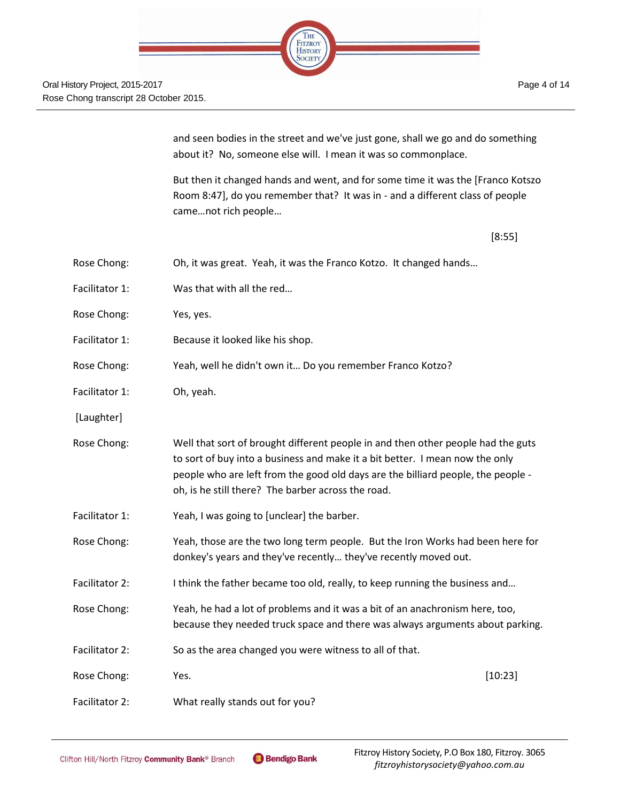and seen bodies in the street and we've just gone, shall we go and do something about it? No, someone else will. I mean it was so commonplace.

But then it changed hands and went, and for some time it was the [Franco Kotszo Room 8:47], do you remember that? It was in - and a different class of people came…not rich people…

[8:55]

| Rose Chong:    | Oh, it was great. Yeah, it was the Franco Kotzo. It changed hands                                                                                                                                                                                                                                          |         |
|----------------|------------------------------------------------------------------------------------------------------------------------------------------------------------------------------------------------------------------------------------------------------------------------------------------------------------|---------|
| Facilitator 1: | Was that with all the red                                                                                                                                                                                                                                                                                  |         |
| Rose Chong:    | Yes, yes.                                                                                                                                                                                                                                                                                                  |         |
| Facilitator 1: | Because it looked like his shop.                                                                                                                                                                                                                                                                           |         |
| Rose Chong:    | Yeah, well he didn't own it Do you remember Franco Kotzo?                                                                                                                                                                                                                                                  |         |
| Facilitator 1: | Oh, yeah.                                                                                                                                                                                                                                                                                                  |         |
| [Laughter]     |                                                                                                                                                                                                                                                                                                            |         |
| Rose Chong:    | Well that sort of brought different people in and then other people had the guts<br>to sort of buy into a business and make it a bit better. I mean now the only<br>people who are left from the good old days are the billiard people, the people -<br>oh, is he still there? The barber across the road. |         |
| Facilitator 1: | Yeah, I was going to [unclear] the barber.                                                                                                                                                                                                                                                                 |         |
| Rose Chong:    | Yeah, those are the two long term people. But the Iron Works had been here for<br>donkey's years and they've recently they've recently moved out.                                                                                                                                                          |         |
| Facilitator 2: | I think the father became too old, really, to keep running the business and                                                                                                                                                                                                                                |         |
| Rose Chong:    | Yeah, he had a lot of problems and it was a bit of an anachronism here, too,<br>because they needed truck space and there was always arguments about parking.                                                                                                                                              |         |
| Facilitator 2: | So as the area changed you were witness to all of that.                                                                                                                                                                                                                                                    |         |
| Rose Chong:    | Yes.                                                                                                                                                                                                                                                                                                       | [10:23] |
| Facilitator 2: | What really stands out for you?                                                                                                                                                                                                                                                                            |         |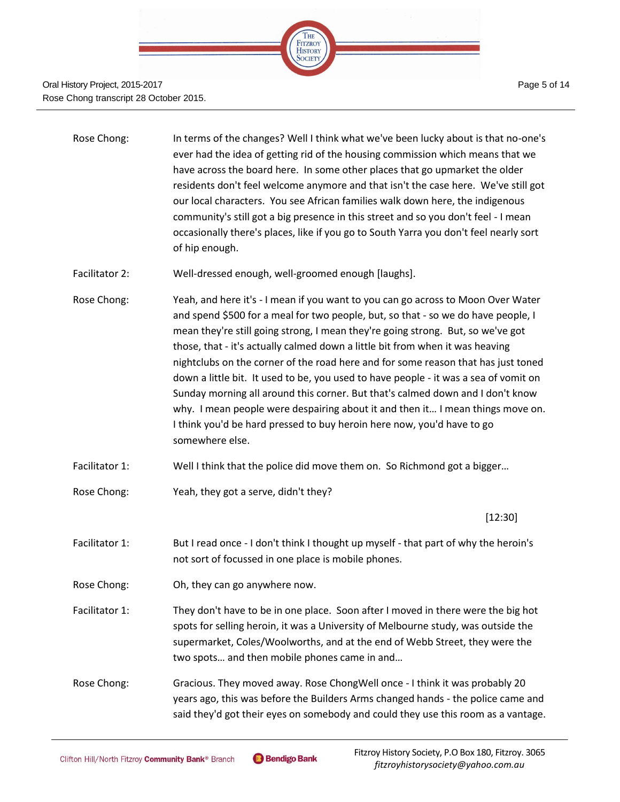

| Rose Chong: | In terms of the changes? Well I think what we've been lucky about is that no-one's    |
|-------------|---------------------------------------------------------------------------------------|
|             | ever had the idea of getting rid of the housing commission which means that we        |
|             | have across the board here. In some other places that go upmarket the older           |
|             | residents don't feel welcome anymore and that isn't the case here. We've still got    |
|             | our local characters. You see African families walk down here, the indigenous         |
|             | community's still got a big presence in this street and so you don't feel - I mean    |
|             | occasionally there's places, like if you go to South Yarra you don't feel nearly sort |
|             | of hip enough.                                                                        |
|             |                                                                                       |

- Facilitator 2: Well-dressed enough, well-groomed enough [laughs].
- Rose Chong: Yeah, and here it's I mean if you want to you can go across to Moon Over Water and spend \$500 for a meal for two people, but, so that - so we do have people, I mean they're still going strong, I mean they're going strong. But, so we've got those, that - it's actually calmed down a little bit from when it was heaving nightclubs on the corner of the road here and for some reason that has just toned down a little bit. It used to be, you used to have people - it was a sea of vomit on Sunday morning all around this corner. But that's calmed down and I don't know why. I mean people were despairing about it and then it… I mean things move on. I think you'd be hard pressed to buy heroin here now, you'd have to go somewhere else.
- Facilitator 1: Well I think that the police did move them on. So Richmond got a bigger…
- Rose Chong: Yeah, they got a serve, didn't they?

[12:30]

- Facilitator 1: But I read once I don't think I thought up myself that part of why the heroin's not sort of focussed in one place is mobile phones.
- Rose Chong: Oh, they can go anywhere now.
- Facilitator 1: They don't have to be in one place. Soon after I moved in there were the big hot spots for selling heroin, it was a University of Melbourne study, was outside the supermarket, Coles/Woolworths, and at the end of Webb Street, they were the two spots… and then mobile phones came in and…

Rose Chong: Gracious. They moved away. Rose ChongWell once - I think it was probably 20 years ago, this was before the Builders Arms changed hands - the police came and said they'd got their eyes on somebody and could they use this room as a vantage.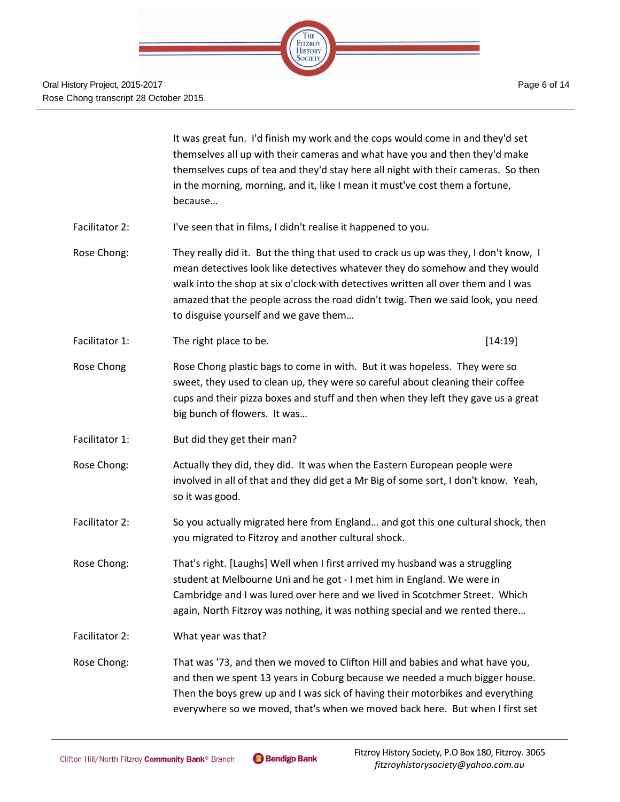

It was great fun. I'd finish my work and the cops would come in and they'd set themselves all up with their cameras and what have you and then they'd make themselves cups of tea and they'd stay here all night with their cameras. So then in the morning, morning, and it, like I mean it must've cost them a fortune, because…

- Facilitator 2: I've seen that in films, I didn't realise it happened to you.
- Rose Chong: They really did it. But the thing that used to crack us up was they, I don't know, I mean detectives look like detectives whatever they do somehow and they would walk into the shop at six o'clock with detectives written all over them and I was amazed that the people across the road didn't twig. Then we said look, you need to disguise yourself and we gave them…
- Facilitator 1: The right place to be. [14:19]
- Rose Chong Rose Chong plastic bags to come in with. But it was hopeless. They were so sweet, they used to clean up, they were so careful about cleaning their coffee cups and their pizza boxes and stuff and then when they left they gave us a great big bunch of flowers. It was…
- Facilitator 1: But did they get their man?
- Rose Chong: Actually they did, they did. It was when the Eastern European people were involved in all of that and they did get a Mr Big of some sort, I don't know. Yeah, so it was good.
- Facilitator 2: So you actually migrated here from England… and got this one cultural shock, then you migrated to Fitzroy and another cultural shock.
- Rose Chong: That's right. [Laughs] Well when I first arrived my husband was a struggling student at Melbourne Uni and he got - I met him in England. We were in Cambridge and I was lured over here and we lived in Scotchmer Street. Which again, North Fitzroy was nothing, it was nothing special and we rented there…
- Facilitator 2: What year was that?
- Rose Chong: That was '73, and then we moved to Clifton Hill and babies and what have you, and then we spent 13 years in Coburg because we needed a much bigger house. Then the boys grew up and I was sick of having their motorbikes and everything everywhere so we moved, that's when we moved back here. But when I first set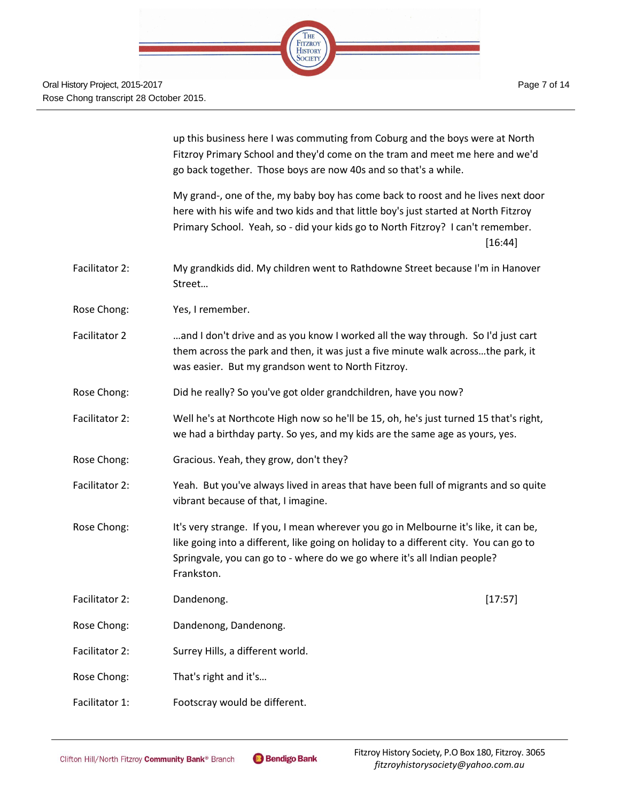up this business here I was commuting from Coburg and the boys were at North Fitzroy Primary School and they'd come on the tram and meet me here and we'd go back together. Those boys are now 40s and so that's a while.

My grand-, one of the, my baby boy has come back to roost and he lives next door here with his wife and two kids and that little boy's just started at North Fitzroy Primary School. Yeah, so - did your kids go to North Fitzroy? I can't remember. [16:44]

- Facilitator 2: My grandkids did. My children went to Rathdowne Street because I'm in Hanover Street…
- Rose Chong: Yes, I remember.
- Facilitator 2 …and I don't drive and as you know I worked all the way through. So I'd just cart them across the park and then, it was just a five minute walk across…the park, it was easier. But my grandson went to North Fitzroy.
- Rose Chong: Did he really? So you've got older grandchildren, have you now?
- Facilitator 2: Well he's at Northcote High now so he'll be 15, oh, he's just turned 15 that's right, we had a birthday party. So yes, and my kids are the same age as yours, yes.
- Rose Chong: Gracious. Yeah, they grow, don't they?
- Facilitator 2: Yeah. But you've always lived in areas that have been full of migrants and so quite vibrant because of that, I imagine.
- Rose Chong: It's very strange. If you, I mean wherever you go in Melbourne it's like, it can be, like going into a different, like going on holiday to a different city. You can go to Springvale, you can go to - where do we go where it's all Indian people? Frankston.
- Facilitator 2: Dandenong. [17:57]
- Rose Chong: Dandenong, Dandenong.
- Facilitator 2: Surrey Hills, a different world.
- Rose Chong: That's right and it's…
- Facilitator 1: Footscray would be different.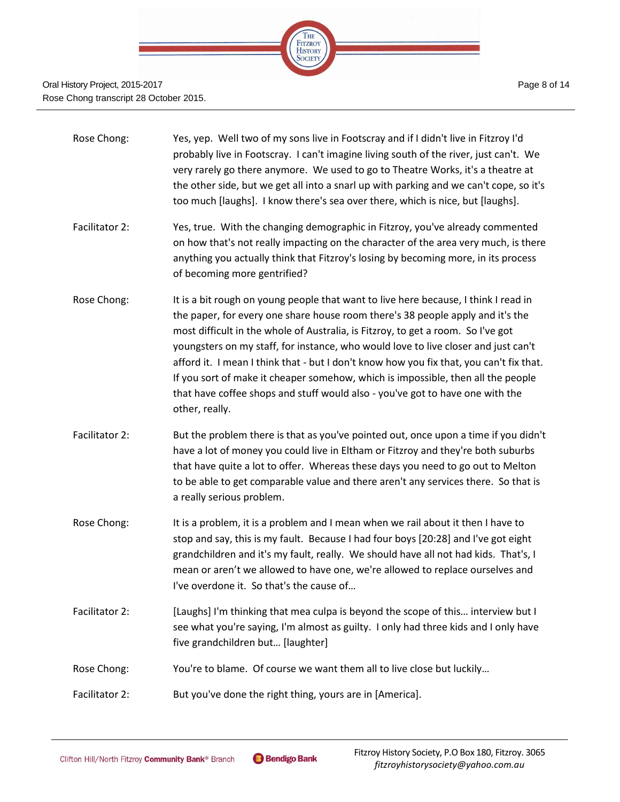

- Rose Chong: Yes, yep. Well two of my sons live in Footscray and if I didn't live in Fitzroy I'd probably live in Footscray. I can't imagine living south of the river, just can't. We very rarely go there anymore. We used to go to Theatre Works, it's a theatre at the other side, but we get all into a snarl up with parking and we can't cope, so it's too much [laughs]. I know there's sea over there, which is nice, but [laughs].
- Facilitator 2: Yes, true. With the changing demographic in Fitzroy, you've already commented on how that's not really impacting on the character of the area very much, is there anything you actually think that Fitzroy's losing by becoming more, in its process of becoming more gentrified?
- Rose Chong: It is a bit rough on young people that want to live here because, I think I read in the paper, for every one share house room there's 38 people apply and it's the most difficult in the whole of Australia, is Fitzroy, to get a room. So I've got youngsters on my staff, for instance, who would love to live closer and just can't afford it. I mean I think that - but I don't know how you fix that, you can't fix that. If you sort of make it cheaper somehow, which is impossible, then all the people that have coffee shops and stuff would also - you've got to have one with the other, really.
- Facilitator 2: But the problem there is that as you've pointed out, once upon a time if you didn't have a lot of money you could live in Eltham or Fitzroy and they're both suburbs that have quite a lot to offer. Whereas these days you need to go out to Melton to be able to get comparable value and there aren't any services there. So that is a really serious problem.
- Rose Chong: It is a problem, it is a problem and I mean when we rail about it then I have to stop and say, this is my fault. Because I had four boys [20:28] and I've got eight grandchildren and it's my fault, really. We should have all not had kids. That's, I mean or aren't we allowed to have one, we're allowed to replace ourselves and I've overdone it. So that's the cause of…
- Facilitator 2: [Laughs] I'm thinking that mea culpa is beyond the scope of this… interview but I see what you're saying, I'm almost as guilty. I only had three kids and I only have five grandchildren but… [laughter]
- Rose Chong: You're to blame. Of course we want them all to live close but luckily...
- Facilitator 2: But you've done the right thing, yours are in [America].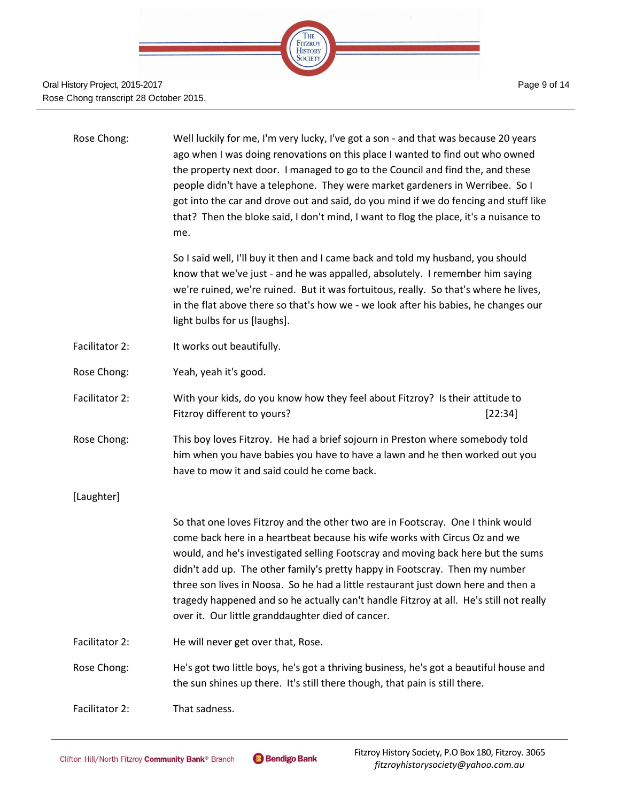

| Rose Chong:    | Well luckily for me, I'm very lucky, I've got a son - and that was because 20 years<br>ago when I was doing renovations on this place I wanted to find out who owned<br>the property next door. I managed to go to the Council and find the, and these<br>people didn't have a telephone. They were market gardeners in Werribee. So I<br>got into the car and drove out and said, do you mind if we do fencing and stuff like<br>that? Then the bloke said, I don't mind, I want to flog the place, it's a nuisance to<br>me.                                       |
|----------------|----------------------------------------------------------------------------------------------------------------------------------------------------------------------------------------------------------------------------------------------------------------------------------------------------------------------------------------------------------------------------------------------------------------------------------------------------------------------------------------------------------------------------------------------------------------------|
|                | So I said well, I'll buy it then and I came back and told my husband, you should<br>know that we've just - and he was appalled, absolutely. I remember him saying<br>we're ruined, we're ruined. But it was fortuitous, really. So that's where he lives,<br>in the flat above there so that's how we - we look after his babies, he changes our<br>light bulbs for us [laughs].                                                                                                                                                                                     |
| Facilitator 2: | It works out beautifully.                                                                                                                                                                                                                                                                                                                                                                                                                                                                                                                                            |
| Rose Chong:    | Yeah, yeah it's good.                                                                                                                                                                                                                                                                                                                                                                                                                                                                                                                                                |
| Facilitator 2: | With your kids, do you know how they feel about Fitzroy? Is their attitude to<br>Fitzroy different to yours?<br>[22:34]                                                                                                                                                                                                                                                                                                                                                                                                                                              |
| Rose Chong:    | This boy loves Fitzroy. He had a brief sojourn in Preston where somebody told<br>him when you have babies you have to have a lawn and he then worked out you<br>have to mow it and said could he come back.                                                                                                                                                                                                                                                                                                                                                          |
| [Laughter]     |                                                                                                                                                                                                                                                                                                                                                                                                                                                                                                                                                                      |
|                | So that one loves Fitzroy and the other two are in Footscray. One I think would<br>come back here in a heartbeat because his wife works with Circus Oz and we<br>would, and he's investigated selling Footscray and moving back here but the sums<br>didn't add up. The other family's pretty happy in Footscray. Then my number<br>three son lives in Noosa. So he had a little restaurant just down here and then a<br>tragedy happened and so he actually can't handle Fitzroy at all. He's still not really<br>over it. Our little granddaughter died of cancer. |
| Facilitator 2: | He will never get over that, Rose.                                                                                                                                                                                                                                                                                                                                                                                                                                                                                                                                   |
| Rose Chong:    | He's got two little boys, he's got a thriving business, he's got a beautiful house and<br>the sun shines up there. It's still there though, that pain is still there.                                                                                                                                                                                                                                                                                                                                                                                                |
| Facilitator 2: | That sadness.                                                                                                                                                                                                                                                                                                                                                                                                                                                                                                                                                        |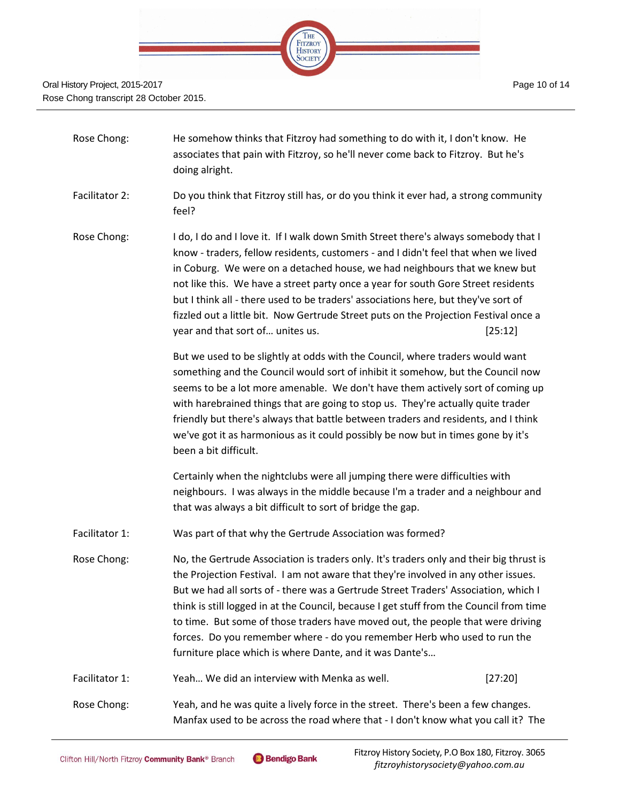

| Rose Chong:    | He somehow thinks that Fitzroy had something to do with it, I don't know. He<br>associates that pain with Fitzroy, so he'll never come back to Fitzroy. But he's<br>doing alright.                                                                                                                                                                                                                                                                                                                                                                                                         |  |
|----------------|--------------------------------------------------------------------------------------------------------------------------------------------------------------------------------------------------------------------------------------------------------------------------------------------------------------------------------------------------------------------------------------------------------------------------------------------------------------------------------------------------------------------------------------------------------------------------------------------|--|
| Facilitator 2: | Do you think that Fitzroy still has, or do you think it ever had, a strong community<br>feel?                                                                                                                                                                                                                                                                                                                                                                                                                                                                                              |  |
| Rose Chong:    | I do, I do and I love it. If I walk down Smith Street there's always somebody that I<br>know - traders, fellow residents, customers - and I didn't feel that when we lived<br>in Coburg. We were on a detached house, we had neighbours that we knew but<br>not like this. We have a street party once a year for south Gore Street residents<br>but I think all - there used to be traders' associations here, but they've sort of<br>fizzled out a little bit. Now Gertrude Street puts on the Projection Festival once a<br>year and that sort of unites us.<br>[25:12]                 |  |
|                | But we used to be slightly at odds with the Council, where traders would want<br>something and the Council would sort of inhibit it somehow, but the Council now<br>seems to be a lot more amenable. We don't have them actively sort of coming up<br>with harebrained things that are going to stop us. They're actually quite trader<br>friendly but there's always that battle between traders and residents, and I think<br>we've got it as harmonious as it could possibly be now but in times gone by it's<br>been a bit difficult.                                                  |  |
|                | Certainly when the nightclubs were all jumping there were difficulties with<br>neighbours. I was always in the middle because I'm a trader and a neighbour and<br>that was always a bit difficult to sort of bridge the gap.                                                                                                                                                                                                                                                                                                                                                               |  |
| Facilitator 1: | Was part of that why the Gertrude Association was formed?                                                                                                                                                                                                                                                                                                                                                                                                                                                                                                                                  |  |
| Rose Chong:    | No, the Gertrude Association is traders only. It's traders only and their big thrust is<br>the Projection Festival. I am not aware that they're involved in any other issues.<br>But we had all sorts of - there was a Gertrude Street Traders' Association, which I<br>think is still logged in at the Council, because I get stuff from the Council from time<br>to time. But some of those traders have moved out, the people that were driving<br>forces. Do you remember where - do you remember Herb who used to run the<br>furniture place which is where Dante, and it was Dante's |  |
| Facilitator 1: | Yeah We did an interview with Menka as well.<br>[27:20]                                                                                                                                                                                                                                                                                                                                                                                                                                                                                                                                    |  |
| Rose Chong:    | Yeah, and he was quite a lively force in the street. There's been a few changes.<br>Manfax used to be across the road where that - I don't know what you call it? The                                                                                                                                                                                                                                                                                                                                                                                                                      |  |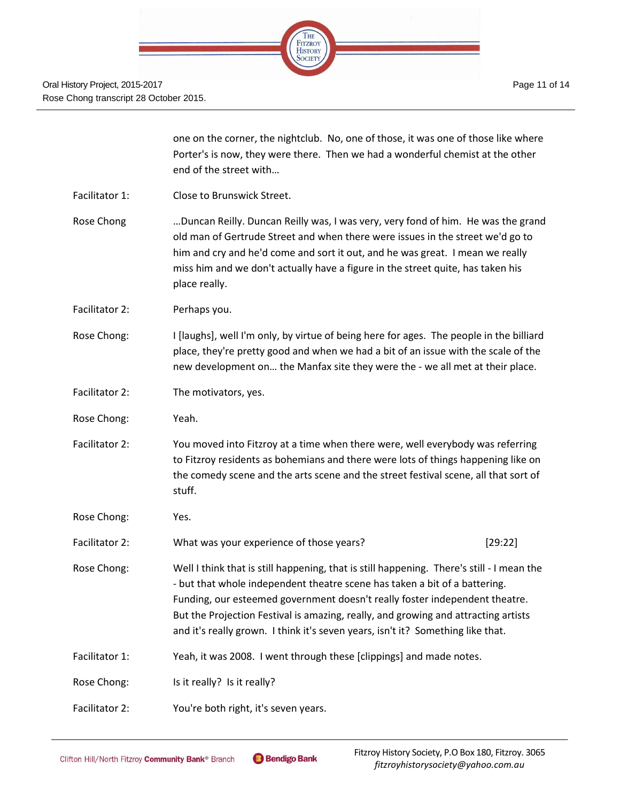

|                | one on the corner, the nightclub. No, one of those, it was one of those like where<br>Porter's is now, they were there. Then we had a wonderful chemist at the other<br>end of the street with                                                                                                                                                                                                                                  |  |
|----------------|---------------------------------------------------------------------------------------------------------------------------------------------------------------------------------------------------------------------------------------------------------------------------------------------------------------------------------------------------------------------------------------------------------------------------------|--|
| Facilitator 1: | Close to Brunswick Street.                                                                                                                                                                                                                                                                                                                                                                                                      |  |
| Rose Chong     | Duncan Reilly. Duncan Reilly was, I was very, very fond of him. He was the grand<br>old man of Gertrude Street and when there were issues in the street we'd go to<br>him and cry and he'd come and sort it out, and he was great. I mean we really<br>miss him and we don't actually have a figure in the street quite, has taken his<br>place really.                                                                         |  |
| Facilitator 2: | Perhaps you.                                                                                                                                                                                                                                                                                                                                                                                                                    |  |
| Rose Chong:    | I [laughs], well I'm only, by virtue of being here for ages. The people in the billiard<br>place, they're pretty good and when we had a bit of an issue with the scale of the<br>new development on the Manfax site they were the - we all met at their place.                                                                                                                                                                  |  |
| Facilitator 2: | The motivators, yes.                                                                                                                                                                                                                                                                                                                                                                                                            |  |
| Rose Chong:    | Yeah.                                                                                                                                                                                                                                                                                                                                                                                                                           |  |
| Facilitator 2: | You moved into Fitzroy at a time when there were, well everybody was referring<br>to Fitzroy residents as bohemians and there were lots of things happening like on<br>the comedy scene and the arts scene and the street festival scene, all that sort of<br>stuff.                                                                                                                                                            |  |
| Rose Chong:    | Yes.                                                                                                                                                                                                                                                                                                                                                                                                                            |  |
| Facilitator 2: | What was your experience of those years?<br>[29:22]                                                                                                                                                                                                                                                                                                                                                                             |  |
| Rose Chong:    | Well I think that is still happening, that is still happening. There's still - I mean the<br>- but that whole independent theatre scene has taken a bit of a battering.<br>Funding, our esteemed government doesn't really foster independent theatre.<br>But the Projection Festival is amazing, really, and growing and attracting artists<br>and it's really grown. I think it's seven years, isn't it? Something like that. |  |
| Facilitator 1: | Yeah, it was 2008. I went through these [clippings] and made notes.                                                                                                                                                                                                                                                                                                                                                             |  |
| Rose Chong:    | Is it really? Is it really?                                                                                                                                                                                                                                                                                                                                                                                                     |  |
| Facilitator 2: | You're both right, it's seven years.                                                                                                                                                                                                                                                                                                                                                                                            |  |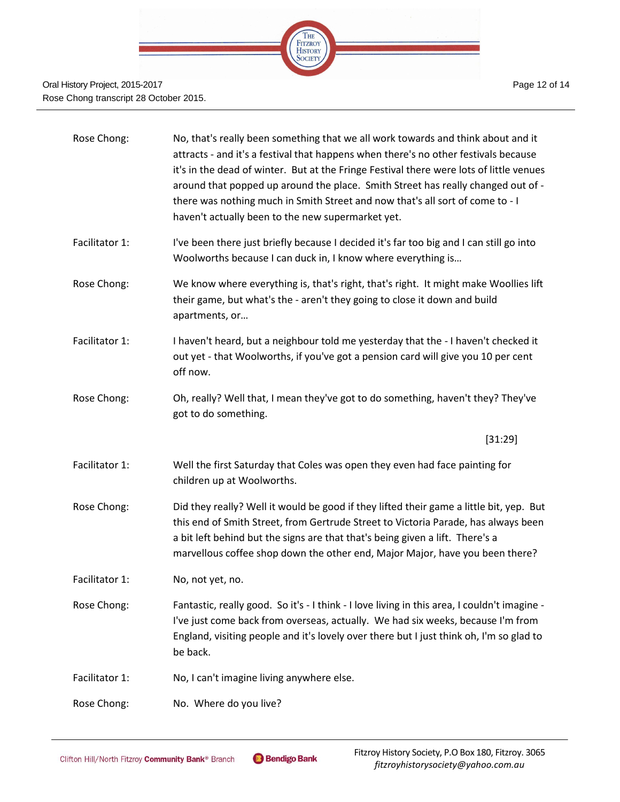

| Rose Chong:    | No, that's really been something that we all work towards and think about and it<br>attracts - and it's a festival that happens when there's no other festivals because<br>it's in the dead of winter. But at the Fringe Festival there were lots of little venues<br>around that popped up around the place. Smith Street has really changed out of -<br>there was nothing much in Smith Street and now that's all sort of come to - I<br>haven't actually been to the new supermarket yet. |
|----------------|----------------------------------------------------------------------------------------------------------------------------------------------------------------------------------------------------------------------------------------------------------------------------------------------------------------------------------------------------------------------------------------------------------------------------------------------------------------------------------------------|
| Facilitator 1: | I've been there just briefly because I decided it's far too big and I can still go into<br>Woolworths because I can duck in, I know where everything is                                                                                                                                                                                                                                                                                                                                      |
| Rose Chong:    | We know where everything is, that's right, that's right. It might make Woollies lift<br>their game, but what's the - aren't they going to close it down and build<br>apartments, or                                                                                                                                                                                                                                                                                                          |
| Facilitator 1: | I haven't heard, but a neighbour told me yesterday that the - I haven't checked it<br>out yet - that Woolworths, if you've got a pension card will give you 10 per cent<br>off now.                                                                                                                                                                                                                                                                                                          |
| Rose Chong:    | Oh, really? Well that, I mean they've got to do something, haven't they? They've<br>got to do something.                                                                                                                                                                                                                                                                                                                                                                                     |
|                | [31:29]                                                                                                                                                                                                                                                                                                                                                                                                                                                                                      |
| Facilitator 1: | Well the first Saturday that Coles was open they even had face painting for<br>children up at Woolworths.                                                                                                                                                                                                                                                                                                                                                                                    |
| Rose Chong:    | Did they really? Well it would be good if they lifted their game a little bit, yep. But<br>this end of Smith Street, from Gertrude Street to Victoria Parade, has always been<br>a bit left behind but the signs are that that's being given a lift. There's a<br>marvellous coffee shop down the other end, Major Major, have you been there?                                                                                                                                               |
| Facilitator 1: | No, not yet, no.                                                                                                                                                                                                                                                                                                                                                                                                                                                                             |
| Rose Chong:    | Fantastic, really good. So it's - I think - I love living in this area, I couldn't imagine -<br>I've just come back from overseas, actually. We had six weeks, because I'm from<br>England, visiting people and it's lovely over there but I just think oh, I'm so glad to<br>be back.                                                                                                                                                                                                       |
| Facilitator 1: | No, I can't imagine living anywhere else.                                                                                                                                                                                                                                                                                                                                                                                                                                                    |
| Rose Chong:    | No. Where do you live?                                                                                                                                                                                                                                                                                                                                                                                                                                                                       |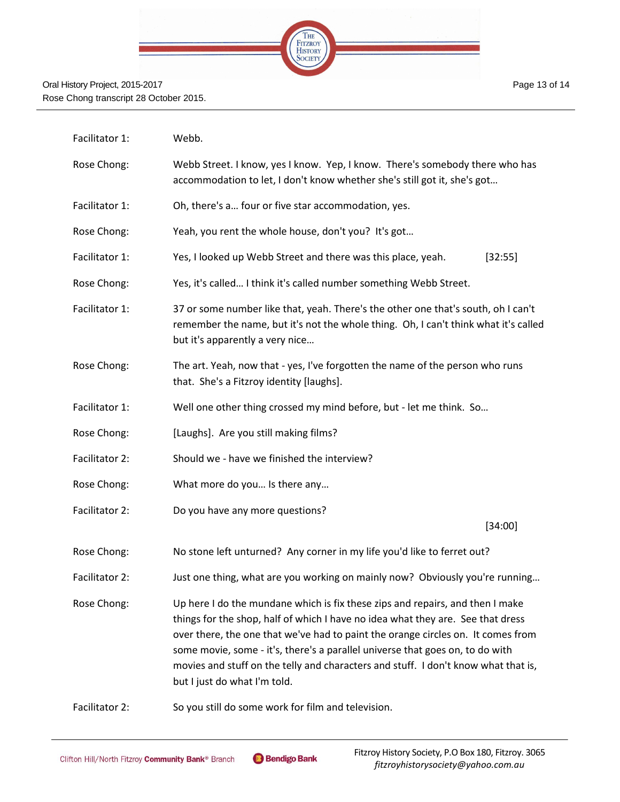

| Facilitator 1: | Webb.                                                                                                                                                                                                                                                                                                                                                                                                                                                       |  |
|----------------|-------------------------------------------------------------------------------------------------------------------------------------------------------------------------------------------------------------------------------------------------------------------------------------------------------------------------------------------------------------------------------------------------------------------------------------------------------------|--|
| Rose Chong:    | Webb Street. I know, yes I know. Yep, I know. There's somebody there who has<br>accommodation to let, I don't know whether she's still got it, she's got                                                                                                                                                                                                                                                                                                    |  |
| Facilitator 1: | Oh, there's a four or five star accommodation, yes.                                                                                                                                                                                                                                                                                                                                                                                                         |  |
| Rose Chong:    | Yeah, you rent the whole house, don't you? It's got                                                                                                                                                                                                                                                                                                                                                                                                         |  |
| Facilitator 1: | Yes, I looked up Webb Street and there was this place, yeah.<br>[32:55]                                                                                                                                                                                                                                                                                                                                                                                     |  |
| Rose Chong:    | Yes, it's called I think it's called number something Webb Street.                                                                                                                                                                                                                                                                                                                                                                                          |  |
| Facilitator 1: | 37 or some number like that, yeah. There's the other one that's south, oh I can't<br>remember the name, but it's not the whole thing. Oh, I can't think what it's called<br>but it's apparently a very nice                                                                                                                                                                                                                                                 |  |
| Rose Chong:    | The art. Yeah, now that - yes, I've forgotten the name of the person who runs<br>that. She's a Fitzroy identity [laughs].                                                                                                                                                                                                                                                                                                                                   |  |
| Facilitator 1: | Well one other thing crossed my mind before, but - let me think. So                                                                                                                                                                                                                                                                                                                                                                                         |  |
| Rose Chong:    | [Laughs]. Are you still making films?                                                                                                                                                                                                                                                                                                                                                                                                                       |  |
| Facilitator 2: | Should we - have we finished the interview?                                                                                                                                                                                                                                                                                                                                                                                                                 |  |
| Rose Chong:    | What more do you Is there any                                                                                                                                                                                                                                                                                                                                                                                                                               |  |
| Facilitator 2: | Do you have any more questions?                                                                                                                                                                                                                                                                                                                                                                                                                             |  |
|                | [34:00]                                                                                                                                                                                                                                                                                                                                                                                                                                                     |  |
| Rose Chong:    | No stone left unturned? Any corner in my life you'd like to ferret out?                                                                                                                                                                                                                                                                                                                                                                                     |  |
| Facilitator 2: | Just one thing, what are you working on mainly now? Obviously you're running                                                                                                                                                                                                                                                                                                                                                                                |  |
| Rose Chong:    | Up here I do the mundane which is fix these zips and repairs, and then I make<br>things for the shop, half of which I have no idea what they are. See that dress<br>over there, the one that we've had to paint the orange circles on. It comes from<br>some movie, some - it's, there's a parallel universe that goes on, to do with<br>movies and stuff on the telly and characters and stuff. I don't know what that is,<br>but I just do what I'm told. |  |
| Facilitator 2: | So you still do some work for film and television.                                                                                                                                                                                                                                                                                                                                                                                                          |  |